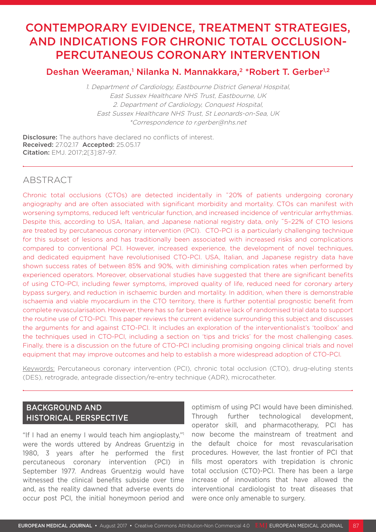# CONTEMPORARY EVIDENCE, TREATMENT STRATEGIES, AND INDICATIONS FOR CHRONIC TOTAL OCCLUSION-PERCUTANEOUS CORONARY INTERVENTION

## Deshan Weeraman,<sup>1</sup> Nilanka N. Mannakkara,<sup>2</sup> \*Robert T. Gerber<sup>1,2</sup>

1. Department of Cardiology, Eastbourne District General Hospital, East Sussex Healthcare NHS Trust, Eastbourne, UK 2. Department of Cardiology, Conquest Hospital, East Sussex Healthcare NHS Trust, St Leonards-on-Sea, UK \*Correspondence to r.gerber@nhs.net

Disclosure: The authors have declared no conflicts of interest. Received: 27.02.17 Accepted: 25.05.17 Citation: EMJ. 2017;2[3]:87-97.

## ABSTRACT

Chronic total occlusions (CTOs) are detected incidentally in ˜20% of patients undergoing coronary angiography and are often associated with significant morbidity and mortality. CTOs can manifest with worsening symptoms, reduced left ventricular function, and increased incidence of ventricular arrhythmias. Despite this, according to USA, Italian, and Japanese national registry data, only ~5-22% of CTO lesions are treated by percutaneous coronary intervention (PCI). CTO-PCI is a particularly challenging technique for this subset of lesions and has traditionally been associated with increased risks and complications compared to conventional PCI. However, increased experience, the development of novel techniques, and dedicated equipment have revolutionised CTO-PCI. USA, Italian, and Japanese registry data have shown success rates of between 85% and 90%, with diminishing complication rates when performed by experienced operators. Moreover, observational studies have suggested that there are significant benefits of using CTO-PCI, including fewer symptoms, improved quality of life, reduced need for coronary artery bypass surgery, and reduction in ischaemic burden and mortality. In addition, when there is demonstrable ischaemia and viable myocardium in the CTO territory, there is further potential prognostic benefit from complete revascularisation. However, there has so far been a relative lack of randomised trial data to support the routine use of CTO-PCI. This paper reviews the current evidence surrounding this subject and discusses the arguments for and against CTO-PCI. It includes an exploration of the interventionalist's 'toolbox' and the techniques used in CTO-PCI, including a section on 'tips and tricks' for the most challenging cases. Finally, there is a discussion on the future of CTO-PCI including promising ongoing clinical trials and novel equipment that may improve outcomes and help to establish a more widespread adoption of CTO-PCI.

Keywords: Percutaneous coronary intervention (PCI), chronic total occlusion (CTO), drug-eluting stents (DES), retrograde, antegrade dissection/re-entry technique (ADR), microcatheter.

## BACKGROUND AND HISTORICAL PERSPECTIVE

"If I had an enemy I would teach him angioplasty," were the words uttered by Andreas Gruentzig in 1980, 3 years after he performed the first percutaneous coronary intervention (PCI) in September 1977. Andreas Gruentzig would have witnessed the clinical benefits subside over time and, as the reality dawned that adverse events do occur post PCI, the initial honeymoon period and

optimism of using PCI would have been diminished. Through further technological development, operator skill, and pharmacotherapy, PCI has now become the mainstream of treatment and the default choice for most revascularisation procedures. However, the last frontier of PCI that fills most operators with trepidation is chronic total occlusion (CTO)-PCI. There has been a large increase of innovations that have allowed the interventional cardiologist to treat diseases that were once only amenable to surgery.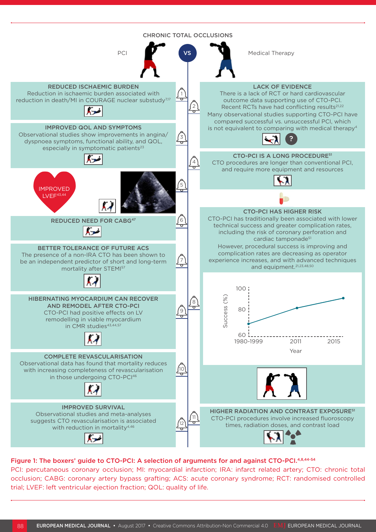

#### Figure 1: The boxers' guide to CTO-PCI: A selection of arguments for and against CTO-PCI.4,8,44-54

PCI: percutaneous coronary occlusion; MI: myocardial infarction; IRA: infarct related artery; CTO: chronic total occlusion; CABG: coronary artery bypass grafting; ACS: acute coronary syndrome; RCT: randomised controlled trial; LVEF: left ventricular ejection fraction; QOL: quality of life.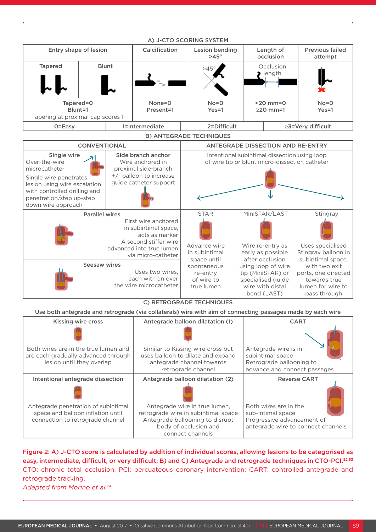| A) J-CTO SCORING SYSTEM                                   |  |                         |                     |                               |                               |                        |                                   |
|-----------------------------------------------------------|--|-------------------------|---------------------|-------------------------------|-------------------------------|------------------------|-----------------------------------|
| Entry shape of lesion                                     |  |                         | Calcification       | Lesion bending<br>$>45^\circ$ |                               | Length of<br>occlusion | <b>Previous failed</b><br>attempt |
| <b>Tapered</b>                                            |  | <b>Blunt</b>            |                     | $>45^\circ$                   |                               | Occlusion<br>length    |                                   |
| Tapered=0<br>Blunt=1<br>Tapering at proximal cap scores 1 |  | $None = 0$<br>Present=1 | $No = 0$<br>$Yes=1$ |                               | $<$ 20 mm=0<br>$\geq$ 20 mm=1 | $No = 0$<br>$Yes=1$    |                                   |
| $O = E$ asy                                               |  | 1=Intermediate          | 2=Difficult         |                               | $\geq$ 3=Very difficult       |                        |                                   |

#### A) J-CTO SCORING SYSTEM

#### B) ANTEGRADE TECHNIQUES



#### C) RETROGRADE TECHNIQUES

Use both antegrade and retrograde (via collaterals) wire with aim of connecting passages made by each wire

| <b>Kissing wire cross</b>                                                                                    | Antegrade balloon dilatation (1)                                                                                          | <b>CART</b>                                                                                          |  |  |
|--------------------------------------------------------------------------------------------------------------|---------------------------------------------------------------------------------------------------------------------------|------------------------------------------------------------------------------------------------------|--|--|
| Both wires are in the true lumen and<br>are each gradually advanced through<br>lesion until they overlap     | Similar to Kissing wire cross but<br>uses balloon to dilate and expand<br>antegrade channel towards<br>retrograde channel | Antegrade wire is in<br>subintimal space<br>Retrograde ballooning to<br>advance and connect passages |  |  |
| Intentional antegrade dissection                                                                             | Antegrade balloon dilatation (2)                                                                                          | <b>Reverse CART</b>                                                                                  |  |  |
| Antegrade penetration of subintimal<br>space and balloon inflation until<br>connection to retrograde channel | Antegrade wire in true lumen,<br>retrograde wire in subintimal space<br>Antegrade ballooning to disrupt                   | Both wires are in the<br>sub-intimal space<br>Progressive advancement of                             |  |  |
|                                                                                                              | body of occlusion and<br>connect channels                                                                                 | antegrade wire to connect channels                                                                   |  |  |

Figure 2: A) J-CTO score is calculated by addition of individual scores, allowing lesions to be categorised as easy, intermediate, difficult, or very difficult; B) and C) Antegrade and retrograde techniques in CTO-PCI.52,53 CTO: chronic total occlusion; PCI: percuateous coronary intervention; CART: controlled antegrade and retrograde tracking. *Adapted from Morino et al.24*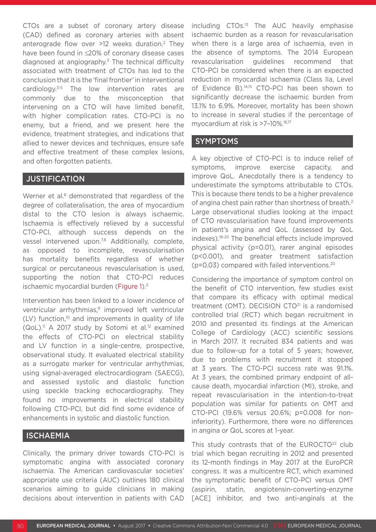CTOs are a subset of coronary artery disease (CAD) defined as coronary arteries with absent anterograde flow over  $>12$  weeks duration.<sup>2</sup> They have been found in ≤20% of coronary disease cases diagnosed at angiography.<sup>3</sup> The technical difficulty associated with treatment of CTOs has led to the conclusion that it is the 'final frontier' in interventional cardiology.3-5 The low intervention rates are commonly due to the misconception that intervening on a CTO will have limited benefit, with higher complication rates. CTO-PCI is no enemy, but a friend, and we present here the evidence, treatment strategies, and indications that allied to newer devices and techniques, ensure safe and effective treatment of these complex lesions, and often forgotten patients.

#### **JUSTIFICATION**

Werner et al.<sup>6</sup> demonstrated that regardless of the degree of collateralisation, the area of myocardium distal to the CTO lesion is always ischaemic. Ischaemia is effectively relieved by a successful CTO-PCI, although success depends on the vessel intervened upon.<sup>7,8</sup> Additionally, complete, as opposed to incomplete, revascularisation has mortality benefits regardless of whether surgical or percutaneous revascularisation is used, supporting the notion that CTO-PCI reduces ischaemic myocardial burden (Figure 1).<sup>2</sup>

Intervention has been linked to a lower incidence of ventricular arrhythmias,<sup>9</sup> improved left ventricular  $(LV)$  function,<sup>10</sup> and improvements in quality of life  $(QoL)$ .<sup>11</sup> A 2017 study by Sotomi et al.<sup>12</sup> examined the effects of CTO-PCI on electrical stability and LV function in a single-centre, prospective, observational study. It evaluated electrical stability as a surrogate marker for ventricular arrhythmias, using signal-averaged electrocardiogram (SAECG), and assessed systolic and diastolic function using speckle tracking echocardiography. They found no improvements in electrical stability following CTO-PCI, but did find some evidence of enhancements in systolic and diastolic function.

### **ISCHAEMIA**

Clinically, the primary driver towards CTO-PCI is symptomatic angina with associated coronary ischaemia. The American cardiovascular societies' appropriate use criteria (AUC) outlines 180 clinical scenarios aiming to guide clinicians in making decisions about intervention in patients with CAD including CTOs.13 The AUC heavily emphasise ischaemic burden as a reason for revascularisation when there is a large area of ischaemia, even in the absence of symptoms. The 2014 European revascularisation guidelines recommend that CTO-PCI be considered when there is an expected reduction in myocardial ischaemia (Class IIa, Level of Evidence B).14,15 CTO-PCI has been shown to significantly decrease the ischaemic burden from 13.1% to 6.9%. Moreover, mortality has been shown to increase in several studies if the percentage of myocardium at risk is >7-10%.<sup>16,17</sup>

#### SYMPTOMS

A key objective of CTO-PCI is to induce relief of symptoms, improve exercise capacity, and improve QoL. Anecdotally there is a tendency to underestimate the symptoms attributable to CTOs. This is because there tends to be a higher prevalence of angina chest pain rather than shortness of breath.2 Large observational studies looking at the impact of CTO revascularisation have found improvements in patient's angina and QoL (assessed by QoL indexes).18-20 The beneficial effects include improved physical activity (p=0.01), rarer anginal episodes (p<0.001), and greater treatment satisfaction (p=0.03) compared with failed interventions.20

Considering the importance of symptom control on the benefit of CTO intervention, few studies exist that compare its efficacy with optimal medical treatment (OMT). DECISION CTO<sup>21</sup> is a randomised controlled trial (RCT) which began recruitment in 2010 and presented its findings at the American College of Cardiology (ACC) scientific sessions in March 2017. It recruited 834 patients and was due to follow-up for a total of 5 years; however, due to problems with recruitment it stopped at 3 years. The CTO-PCI success rate was 91.1%. At 3 years, the combined primary endpoint of allcause death, myocardial infarction (MI), stroke, and repeat revascularisation in the intention-to-treat population was similar for patients on OMT and CTO-PCI (19.6% versus 20.6%; p=0.008 for noninferiority). Furthermore, there were no differences in angina or QoL scores at 1-year.

This study contrasts that of the EUROCTO<sup>22</sup> club trial which began recruiting in 2012 and presented its 12-month findings in May 2017 at the EuroPCR congress. It was a multicentre RCT, which examined the symptomatic benefit of CTO-PCI versus OMT (aspirin, statin, angiotensin-converting-enzyme [ACE] inhibitor, and two anti-anginals at the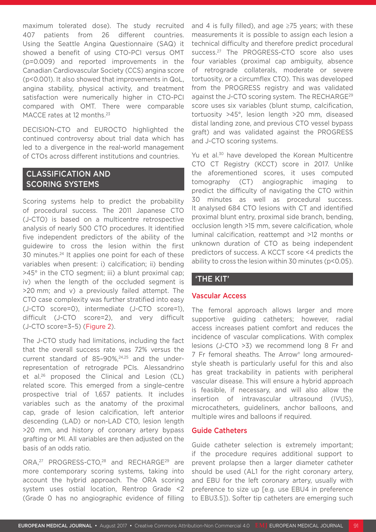maximum tolerated dose). The study recruited 407 patients from 26 different countries. Using the Seattle Angina Questionnaire (SAQ) it showed a benefit of using CTO-PCI versus OMT (p=0.009) and reported improvements in the Canadian Cardiovascular Society (CCS) angina score (p<0.001). It also showed that improvements in QoL, angina stability, physical activity, and treatment satisfaction were numerically higher in CTO-PCI compared with OMT. There were comparable MACCE rates at 12 months.<sup>23</sup>

DECISION-CTO and EUROCTO highlighted the continued controversy about trial data which has led to a divergence in the real-world management of CTOs across different institutions and countries.

## CLASSIFICATION AND SCORING SYSTEMS

Scoring systems help to predict the probability of procedural success. The 2011 Japanese CTO (J-CTO) is based on a multicentre retrospective analysis of nearly 500 CTO procedures. It identified five independent predictors of the ability of the guidewire to cross the lesion within the first 30 minutes.24 It applies one point for each of these variables when present: i) calcification; ii) bending >45° in the CTO segment; iii) a blunt proximal cap; iv) when the length of the occluded segment is >20 mm; and v) a previously failed attempt. The CTO case complexity was further stratified into easy (J-CTO score=0), intermediate (J-CTO score=1), difficult (J-CTO score=2), and very difficult (J-CTO score=3–5) (Figure 2).

The J-CTO study had limitations, including the fact that the overall success rate was 72% versus the current standard of 85-90%,<sup>24,25</sup> and the underrepresentation of retrograde PCIs. Alessandrino et al.26 proposed the Clinical and Lesion (CL) related score. This emerged from a single-centre prospective trial of 1,657 patients. It includes variables such as the anatomy of the proximal cap, grade of lesion calcification, left anterior descending (LAD) or non-LAD CTO, lesion length >20 mm, and history of coronary artery bypass grafting or MI. All variables are then adjusted on the basis of an odds ratio.

ORA,<sup>27</sup> PROGRESS-CTO,<sup>28</sup> and RECHARGE<sup>29</sup> are more contemporary scoring systems, taking into account the hybrid approach. The ORA scoring system uses ostial location, Rentrop Grade <2 (Grade 0 has no angiographic evidence of filling and 4 is fully filled), and age  $\geq$ 75 years; with these measurements it is possible to assign each lesion a technical difficulty and therefore predict procedural success.27 The PROGRESS-CTO score also uses four variables (proximal cap ambiguity, absence of retrograde collaterals, moderate or severe tortuosity, or a circumflex CTO). This was developed from the PROGRESS registry and was validated against the J-CTO scoring system. The RECHARGE29 score uses six variables (blunt stump, calcification, tortuosity >45°, lesion length >20 mm, diseased distal landing zone, and previous CTO vessel bypass graft) and was validated against the PROGRESS and J-CTO scoring systems.

Yu et al.<sup>30</sup> have developed the Korean Multicentre CTO CT Registry (KCCT) score in 2017. Unlike the aforementioned scores, it uses computed tomography (CT) angiographic imaging to predict the difficulty of navigating the CTO within 30 minutes as well as procedural success. It analysed 684 CTO lesions with CT and identified proximal blunt entry, proximal side branch, bending, occlusion length >15 mm, severe calcification, whole luminal calcification, reattempt and >12 months or unknown duration of CTO as being independent predictors of success. A KCCT score <4 predicts the ability to cross the lesion within 30 minutes (p<0.05).

## 'THE KIT'

#### Vascular Access

The femoral approach allows larger and more supportive guiding catheters; however, radial access increases patient comfort and reduces the incidence of vascular complications. With complex lesions (J-CTO >3) we recommend long 8 Fr and 7 Fr femoral sheaths. The Arrow® long armouredstyle sheath is particularly useful for this and also has great trackability in patients with peripheral vascular disease. This will ensure a hybrid approach is feasible, if necessary, and will also allow the insertion of intravascular ultrasound (IVUS), microcatheters, guideliners, anchor balloons, and multiple wires and balloons if required.

#### Guide Catheters

Guide catheter selection is extremely important; if the procedure requires additional support to prevent prolapse then a larger diameter catheter should be used (AL1 for the right coronary artery, and EBU for the left coronary artery, usually with preference to size up [e.g. use EBU4 in preference to EBU3.5]). Softer tip catheters are emerging such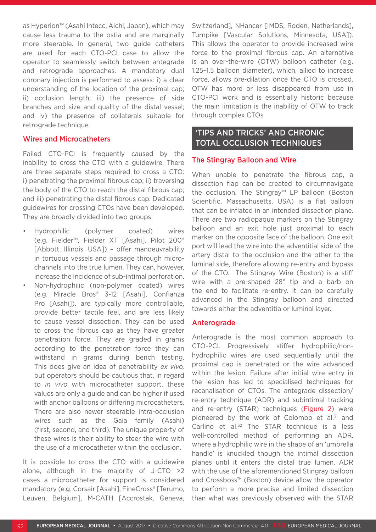as Hyperion™ (Asahi Intecc, Aichi, Japan), which may cause less trauma to the ostia and are marginally more steerable. In general, two guide catheters are used for each CTO-PCI case to allow the operator to seamlessly switch between antegrade and retrograde approaches. A mandatory dual coronary injection is performed to assess: i) a clear understanding of the location of the proximal cap; ii) occlusion length; iii) the presence of side branches and size and quality of the distal vessel; and iv) the presence of collaterals suitable for retrograde technique.

#### Wires and Microcatheters

Failed CTO-PCI is frequently caused by the inability to cross the CTO with a guidewire. There are three separate steps required to cross a CTO: i) penetrating the proximal fibrous cap; ii) traversing the body of the CTO to reach the distal fibrous cap; and iii) penetrating the distal fibrous cap. Dedicated guidewires for crossing CTOs have been developed. They are broadly divided into two groups:

- Hydrophilic (polymer coated) wires (e.g. Fielder™, Fielder XT [Asahi], Pilot 200® [Abbott, Illinois, USA]) - offer manoeuvrability in tortuous vessels and passage through microchannels into the true lumen. They can, however, increase the incidence of sub-intimal perforation.
- Non-hydrophilic (non-polymer coated) wires (e.g. Miracle Bros® 3-12 [Asahi], Confianza Pro [Asahi]), are typically more controllable, provide better tactile feel, and are less likely to cause vessel dissection. They can be used to cross the fibrous cap as they have greater penetration force. They are graded in grams according to the penetration force they can withstand in grams during bench testing. This does give an idea of penetrability *ex vivo,* but operators should be cautious that, in regard to *in vivo* with microcatheter support, these values are only a guide and can be higher if used with anchor balloons or differing microcatheters. There are also newer steerable intra-occlusion wires such as the Gaia family (Asahi) (first, second, and third). The unique property of these wires is their ability to steer the wire with the use of a microcatheter within the occlusion.

It is possible to cross the CTO with a guidewire alone, although in the majority of J-CTO >2 cases a microcatheter for support is considered mandatory (e.g. Corsair [Asahi], FineCross® [Terumo, Leuven, Belgium], M-CATH [Accrostak, Geneva, Switzerland], NHancer [IMDS, Roden, Netherlands], Turnpike [Vascular Solutions, Minnesota, USA]). This allows the operator to provide increased wire force to the proximal fibrous cap. An alternative is an over-the-wire (OTW) balloon catheter (e.g. 1.25–1.5 balloon diameter), which, allied to increase force, allows pre-dilation once the CTO is crossed. OTW has more or less disappeared from use in CTO-PCI work and is essentially historic because the main limitation is the inability of OTW to track through complex CTOs.

#### 'TIPS AND TRICKS' AND CHRONIC TOTAL OCCLUSION TECHNIQUES

#### The Stingray Balloon and Wire

When unable to penetrate the fibrous cap, a dissection flap can be created to circumnavigate the occlusion. The Stingray™ LP balloon (Boston Scientific, Massachusetts, USA) is a flat balloon that can be inflated in an intended dissection plane. There are two radiopaque markers on the Stingray balloon and an exit hole just proximal to each marker on the opposite face of the balloon. One exit port will lead the wire into the adventitial side of the artery distal to the occlusion and the other to the luminal side, therefore allowing re-entry and bypass of the CTO. The Stingray Wire (Boston) is a stiff wire with a pre-shaped 28° tip and a barb on the end to facilitate re-entry. It can be carefully advanced in the Stingray balloon and directed towards either the adventitia or luminal layer.

#### Anterograde

Anterograde is the most common approach to CTO-PCI. Progressively stiffer hydrophilic/nonhydrophilic wires are used sequentially until the proximal cap is penetrated or the wire advanced within the lesion. Failure after initial wire entry in the lesion has led to specialised techniques for recanalisation of CTOs. The antegrade dissection/ re-entry technique (ADR) and subintimal tracking and re-entry (STAR) techniques (Figure 2) were pioneered by the work of Colombo et al.<sup>31</sup> and Carlino et al.<sup>32</sup> The STAR technique is a less well-controlled method of performing an ADR, where a hydrophilic wire in the shape of an 'umbrella handle' is knuckled though the intimal dissection planes until it enters the distal true lumen. ADR with the use of the aforementioned Stingray balloon and Crossboss™ (Boston) device allow the operator to perform a more precise and limited dissection than what was previously observed with the STAR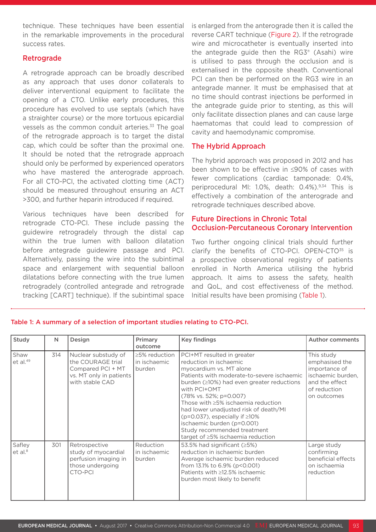technique. These techniques have been essential in the remarkable improvements in the procedural success rates.

#### Retrograde

A retrograde approach can be broadly described as any approach that uses donor collaterals to deliver interventional equipment to facilitate the opening of a CTO. Unlike early procedures, this procedure has evolved to use septals (which have a straighter course) or the more tortuous epicardial vessels as the common conduit arteries.<sup>33</sup> The goal of the retrograde approach is to target the distal cap, which could be softer than the proximal one. It should be noted that the retrograde approach should only be performed by experienced operators who have mastered the anterograde approach. For all CTO-PCI, the activated clotting time (ACT) should be measured throughout ensuring an ACT >300, and further heparin introduced if required.

Various techniques have been described for retrograde CTO-PCI. These include passing the guidewire retrogradely through the distal cap within the true lumen with balloon dilatation before antegrade guidewire passage and PCI. Alternatively, passing the wire into the subintimal space and enlargement with sequential balloon dilatations before connecting with the true lumen retrogradely (controlled antegrade and retrograde tracking [CART] technique). If the subintimal space

is enlarged from the anterograde then it is called the reverse CART technique (Figure 2). If the retrograde wire and microcatheter is eventually inserted into the antegrade guide then the RG3® (Asahi) wire is utilised to pass through the occlusion and is externalised in the opposite sheath. Conventional PCI can then be performed on the RG3 wire in an antegrade manner. It must be emphasised that at no time should contrast injections be performed in the antegrade guide prior to stenting, as this will only facilitate dissection planes and can cause large haematomas that could lead to compression of cavity and haemodynamic compromise.

#### The Hybrid Approach

The hybrid approach was proposed in 2012 and has been shown to be effective in ≤90% of cases with fewer complications (cardiac tamponade: 0.4%, periprocedural MI: 1.0%, death: 0.4%).<sup>9,34</sup> This is effectively a combination of the anterograde and retrograde techniques described above.

#### Future Directions in Chronic Total Occlusion-Percutaneous Coronary Intervention

Two further ongoing clinical trials should further clarify the benefits of CTO-PCI. OPEN-CTO<sup>35</sup> is a prospective observational registry of patients enrolled in North America utilising the hybrid approach. It aims to assess the safety, health and QoL, and cost effectiveness of the method. Initial results have been promising (Table 1).

| Study                         | N   | Design                                                                                                      | Primary<br>outcome                              | <b>Key findings</b>                                                                                                                                                                                                                                                                                                                                                                                                                                            | <b>Author comments</b>                                                                                              |
|-------------------------------|-----|-------------------------------------------------------------------------------------------------------------|-------------------------------------------------|----------------------------------------------------------------------------------------------------------------------------------------------------------------------------------------------------------------------------------------------------------------------------------------------------------------------------------------------------------------------------------------------------------------------------------------------------------------|---------------------------------------------------------------------------------------------------------------------|
| Shaw<br>et al. $49$           | 314 | Nuclear substudy of<br>the COURAGE trial<br>Compared PCI + MT<br>vs. MT only in patients<br>with stable CAD | $\geq$ 5% reduction<br>l in ischaemic<br>burden | PCI+MT resulted in greater<br>reduction in ischaemic<br>myocardium vs. MT alone<br>Patients with moderate-to-severe ischaemic<br>burden $(\geq 10\%)$ had even greater reductions<br>with PCI+OMT<br>(78% vs. 52%; p=0.007)<br>Those with >5% ischaemia reduction<br>had lower unadjusted risk of death/MI<br>( $p=0.037$ ), especially if $\geq 10\%$<br>ischaemic burden (p=0.001)<br>Study recommended treatment<br>target of $\geq$ 5% ischaemia reduction | This study<br>emphasised the<br>importance of<br>ischaemic burden,<br>and the effect<br>of reduction<br>on outcomes |
| Safley<br>et al. <sup>8</sup> | 301 | Retrospective<br>study of myocardial<br>perfusion imaging in<br>those undergoing<br>CTO-PCI                 | Reduction<br>in ischaemic<br>burden             | 53.5% had significant $(25%)$<br>reduction in ischaemic burden<br>Average ischaemic burden reduced<br>from 13.1% to 6.9% (p<0.001)<br>Patients with ≥12.5% ischaemic<br>burden most likely to benefit                                                                                                                                                                                                                                                          | Large study<br>confirming<br>beneficial effects<br>on ischaemia<br>reduction                                        |

#### Table 1: A summary of a selection of important studies relating to CTO-PCI.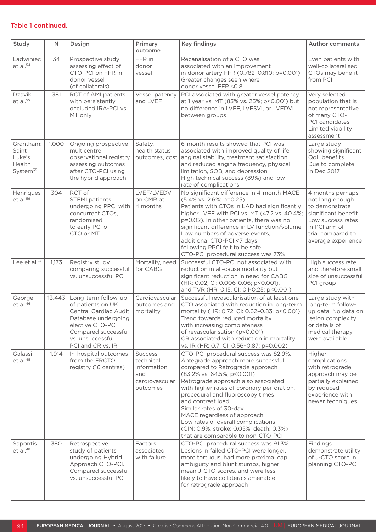#### Table 1 continued.

| Study                                                          | $\mathsf{N}$ | Design                                                                                                                                                                       | Primary<br>outcome                                                         | <b>Key findings</b>                                                                                                                                                                                                                                                                                                                                                                                                                                                          | <b>Author comments</b>                                                                                                                                         |
|----------------------------------------------------------------|--------------|------------------------------------------------------------------------------------------------------------------------------------------------------------------------------|----------------------------------------------------------------------------|------------------------------------------------------------------------------------------------------------------------------------------------------------------------------------------------------------------------------------------------------------------------------------------------------------------------------------------------------------------------------------------------------------------------------------------------------------------------------|----------------------------------------------------------------------------------------------------------------------------------------------------------------|
| Ladwiniec<br>et al. <sup>54</sup>                              | 34           | Prospective study<br>assessing effect of<br>CTO-PCI on FFR in<br>donor vessel<br>(of collaterals)                                                                            | FFR in<br>donor<br>vessel                                                  | Recanalisation of a CTO was<br>associated with an improvement<br>in donor artery FFR (0.782-0.810; p=0.001)<br>Greater changes seen where<br>donor vessel FFR ≤0.8                                                                                                                                                                                                                                                                                                           | Even patients with<br>well-collateralised<br>CTOs may benefit<br>from PCI                                                                                      |
| Dzavik<br>$et$ al. $55$                                        | 381          | RCT of AMI patients<br>with persistently<br>occluded IRA-PCI vs.<br>MT only                                                                                                  | Vessel patency<br>and LVEF                                                 | PCI associated with greater vessel patency<br>at 1 year vs. MT (83% vs. 25%; p<0.001) but<br>no difference in LVEF, LVESVI, or LVEDVI<br>between groups                                                                                                                                                                                                                                                                                                                      | Very selected<br>population that is<br>not representative<br>of many CTO-<br>PCI candidates.<br>Limited viability<br>assessment                                |
| Grantham;<br>Saint<br>Luke's<br>Health<br>System <sup>35</sup> | 1,000        | Ongoing prospective<br>multicentre<br>observational registry<br>assessing outcomes<br>after CTO-PCI using<br>the hybrid approach                                             | Safety,<br>health status<br>outcomes, cost                                 | 6-month results showed that PCI was<br>associated with improved quality of life,<br>anginal stability, treatment satisfaction,<br>and reduced angina frequency, physical<br>limitation, SOB, and depression<br>High technical success (89%) and low<br>rate of complications                                                                                                                                                                                                 | Large study<br>showing significant<br>QoL benefits.<br>Due to complete<br>in Dec 2017                                                                          |
| Henriques<br>et al. <sup>56</sup>                              | 304          | RCT of<br><b>STEMI</b> patients<br>undergoing PPCI with<br>concurrent CTOs,<br>randomised<br>to early PCI of<br>CTO or MT                                                    | LVEF/LVEDV<br>on CMR at<br>4 months                                        | No significant difference in 4-month MACE<br>(5.4% vs. 2.6%; p=0.25)<br>Patients with CTOs in LAD had significantly<br>higher LVEF with PCI vs. MT (47.2 vs. 40.4%;<br>p=0.02). In other patients, there was no<br>significant difference in LV function/volume<br>Low numbers of adverse events,<br>additional CTO-PCI <7 days<br>following PPCI felt to be safe<br>CTO-PCI procedural success was 73%                                                                      | 4 months perhaps<br>not long enough<br>to demonstrate<br>significant benefit.<br>Low success rates<br>in PCI arm of<br>trial compared to<br>average experience |
| Lee et al. <sup>47</sup>                                       | 1,173        | Registry study<br>comparing successful<br>vs. unsuccessful PCI                                                                                                               | Mortality, need<br>for CABG                                                | Successful CTO-PCI not associated with<br>reduction in all-cause mortality but<br>significant reduction in need for CABG<br>(HR: 0.02, Cl: 0.006-0.06; p<0.001),<br>and TVR (HR: 0.15, CI: 0.1-0.25; p<0.001)                                                                                                                                                                                                                                                                | High success rate<br>and therefore small<br>size of unsuccessful<br>PCI group                                                                                  |
| George<br>$et$ al. $46$                                        | 13,443       | Long-term follow-up<br>of patients on UK<br>Central Cardiac Audit<br>Database undergoing<br>elective CTO-PCI<br>Compared successful<br>vs. unsuccessful<br>PCI and CR vs. IR | Cardiovascular<br>outcomes and<br>mortality                                | Successful revascularisation of at least one<br>CTO associated with reduction in long-term<br>mortality (HR: 0.72, Cl: 0.62-0.83; p<0.001)<br>Trend towards reduced mortality<br>with increasing completeness<br>of revascularisation (p<0.001)<br>CR associated with reduction in mortality<br>vs. IR (HR: 0.7; CI: 0.56-0.87; p=0.002)                                                                                                                                     | Large study with<br>long-term follow-<br>up data. No data on<br>lesion complexity<br>or details of<br>medical therapy<br>were available                        |
| Galassi<br>et al. <sup>45</sup>                                | 1,914        | In-hospital outcomes<br>from the ERCTO<br>registry (16 centres)                                                                                                              | Success,<br>technical<br>information,<br>and<br>cardiovascular<br>outcomes | CTO-PCI procedural success was 82.9%.<br>Antegrade approach more successful<br>compared to Retrograde approach<br>(83.2% vs. 64.5%; p<0.001)<br>Retrograde approach also associated<br>with higher rates of coronary perforation,<br>procedural and fluoroscopy times<br>and contrast load<br>Similar rates of 30-day<br>MACE regardless of approach.<br>Low rates of overall complications<br>(CIN: 0.9%, stroke: 0.05%, death: 0.3%)<br>that are comparable to non-CTO-PCI | Higher<br>complications<br>with retrograde<br>approach may be<br>partially explained<br>by reduced<br>experience with<br>newer techniques                      |
| Sapontis<br>et al. <sup>48</sup>                               | 380          | Retrospective<br>study of patients<br>undergoing Hybrid<br>Approach CTO-PCI.<br>Compared successful<br>vs. unsuccessful PCI                                                  | Factors<br>associated<br>with failure                                      | CTO-PCI procedural success was 91.3%.<br>Lesions in failed CTO-PCI were longer,<br>more tortuous, had more proximal cap<br>ambiguity and blunt stumps, higher<br>mean J-CTO scores, and were less<br>likely to have collaterals amenable<br>for retrograde approach                                                                                                                                                                                                          | Findings<br>demonstrate utility<br>of J-CTO score in<br>planning CTO-PCI                                                                                       |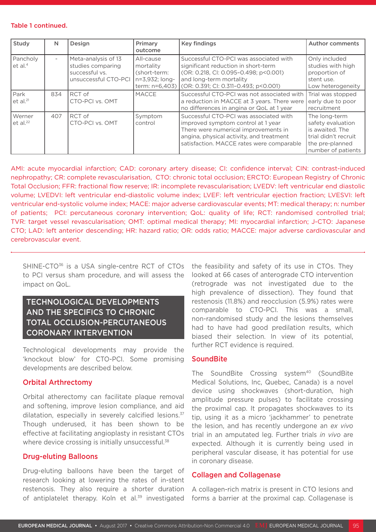#### Table 1 continued.

| Study                           | N                        | Design                                                                             | Primary<br>outcome                                                         | <b>Key findings</b>                                                                                                                                                                                           | <b>Author comments</b>                                                                                                 |
|---------------------------------|--------------------------|------------------------------------------------------------------------------------|----------------------------------------------------------------------------|---------------------------------------------------------------------------------------------------------------------------------------------------------------------------------------------------------------|------------------------------------------------------------------------------------------------------------------------|
| Pancholy<br>et al. <sup>4</sup> | $\overline{\phantom{0}}$ | Meta-analysis of 13<br>studies comparing<br>successful vs.<br>unsuccessful CTO-PCI | All-cause<br>mortality<br>(short-term:<br>n=3,932; long-<br>term: n=6,403) | Successful CTO-PCI was associated with<br>significant reduction in short-term<br>(OR: 0.218, CI: 0.095-0.498; p<0.001)<br>and long-term mortality<br>COR: 0.391; CI: 0.311-0.493; p<0.001)                    | Only included<br>studies with high<br>proportion of<br>stent use.<br>Low heterogeneity                                 |
| Park<br>et al. $21$             | 834                      | RCT of<br>CTO-PCI vs. OMT                                                          | <b>MACCE</b>                                                               | Successful CTO-PCI was not associated with<br>a reduction in MACCE at 3 years. There were<br>no differences in angina or QoL at 1 year                                                                        | Trial was stopped<br>early due to poor<br>recruitment                                                                  |
| Werner<br>et al. <sup>22</sup>  | 407                      | RCT of<br>CTO-PCI vs. OMT                                                          | Symptom<br>control                                                         | Successful CTO-PCI was associated with<br>improved symptom control at 1 year<br>There were numerical improvements in<br>angina, physical activity, and treatment<br>satisfaction. MACCE rates were comparable | The long-term<br>safety evaluation<br>is awaited. The<br>trial didn't recruit<br>the pre-planned<br>number of patients |

AMI: acute myocardial infarction; CAD: coronary artery disease; CI: confidence interval; CIN: contrast-induced nephropathy; CR: complete revascularisation, CTO: chronic total occlusion; ERCTO: European Registry of Chronic Total Occlusion; FFR: fractional flow reserve; IR: incomplete revascularisation; LVEDV: left ventricular end diastolic volume; LVEDVI: left ventricular end-diastolic volume index; LVEF: left ventricular ejection fraction; LVESVI: left ventricular end-systolic volume index; MACE: major adverse cardiovascular events; MT: medical therapy; n: number of patients; PCI: percutaneous coronary intervention; QoL: quality of life; RCT: randomised controlled trial; TVR: target vessel revascularisation; OMT: optimal medical therapy; MI: myocardial infarction; J-CTO: Japanese CTO; LAD: left anterior descending; HR: hazard ratio; OR: odds ratio; MACCE: major adverse cardiovascular and cerebrovascular event.

SHINE-CTO<sup>36</sup> is a USA single-centre RCT of CTOs to PCI versus sham procedure, and will assess the impact on QoL.

## TECHNOLOGICAL DEVELOPMENTS AND THE SPECIFICS TO CHRONIC TOTAL OCCLUSION-PERCUTANEOUS CORONARY INTERVENTION

Technological developments may provide the 'knockout blow' for CTO-PCI. Some promising developments are described below.

#### Orbital Arthrectomy

Orbital atherectomy can facilitate plaque removal and softening, improve lesion compliance, and aid dilatation, especially in severely calcified lesions.<sup>37</sup> Though underused, it has been shown to be effective at facilitating angioplasty in resistant CTOs where device crossing is initially unsuccessful.<sup>38</sup>

#### Drug-eluting Balloons

Drug-eluting balloons have been the target of research looking at lowering the rates of in-stent restenosis. They also require a shorter duration of antiplatelet therapy. Koln et al.<sup>39</sup> investigated

the feasibility and safety of its use in CTOs. They looked at 66 cases of anterograde CTO intervention (retrograde was not investigated due to the high prevalence of dissection). They found that restenosis (11.8%) and reocclusion (5.9%) rates were comparable to CTO-PCI. This was a small, non-randomised study and the lesions themselves had to have had good predilation results, which biased their selection. In view of its potential, further RCT evidence is required.

#### **SoundBite**

The SoundBite Crossing system<sup>40</sup> (SoundBite Medical Solutions, Inc, Quebec, Canada) is a novel device using shockwaves (short-duration, high amplitude pressure pulses) to facilitate crossing the proximal cap. It propagates shockwaves to its tip, using it as a micro 'jackhammer' to penetrate the lesion, and has recently undergone an *ex vivo* trial in an amputated leg. Further trials *in vivo* are expected. Although it is currently being used in peripheral vascular disease, it has potential for use in coronary disease.

#### Collagen and Collagenase

A collagen-rich matrix is present in CTO lesions and forms a barrier at the proximal cap. Collagenase is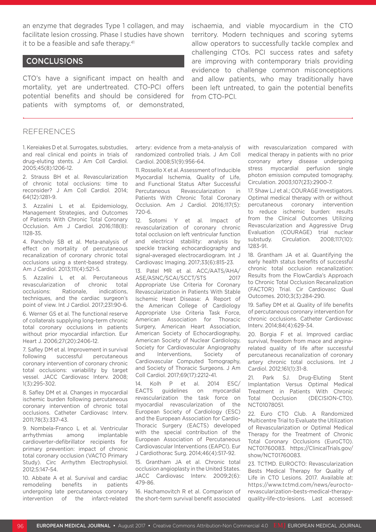an enzyme that degrades Type 1 collagen, and may facilitate lesion crossing. Phase I studies have shown it to be a feasible and safe therapy.<sup>41</sup>

#### CONCLUSIONS

CTO's have a significant impact on health and mortality, yet are undertreated. CTO-PCI offers potential benefits and should be considered for patients with symptoms of, or demonstrated,

ischaemia, and viable myocardium in the CTO territory. Modern techniques and scoring sytems allow operators to successfully tackle complex and challenging CTOs. PCI success rates and safety are improving with contemporary trials providing evidence to challenge common misconceptions and allow patients, who may traditionally have been left untreated, to gain the potential benefits from CTO-PCI.

#### REFERENCES

1. Kereiakes D et al. Surrogates, substudies, and real clinical end points in trials of drug-eluting stents. J Am Coll Cardiol. 2005;45(8):1206-12.

2. Strauss BH et al. Revascularization of chronic total occlusions: time to reconsider? J Am Coll Cardiol. 2014; 64(12):1281-9.

3. Azzalini L et al. Epidemiology, Management Strategies, and Outcomes of Patients With Chronic Total Coronary Occlusion. Am J Cardiol. 2016;118(8): 1128-35.

4. Pancholy SB et al. Meta-analysis of effect on mortality of percutaneous recanalization of coronary chronic total occlusions using a stent-based strategy. Am J Cardiol. 2013;111(4):521-5.

5. Azzalini L et al. Percutaneous revascularization of chronic total occlusions: Rationale, indications, techniques, and the cardiac surgeon's point of view. Int J Cardiol. 2017;231:90-6.

6. Werner GS et al. The functional reserve of collaterals supplying long-term chronic total coronary occlusions in patients without prior myocardial infarction. Eur Heart J. 2006;27(20):2406-12.

7. Safley DM et al. Improvement in survival following successful percutaneous coronary intervention of coronary chronic total occlusions: variability by target vessel. JACC Cardiovasc Interv. 2008; 1(3):295-302.

8. Safley DM et al. Changes in myocardial ischemic burden following percutaneous coronary intervention of chronic total occlusions. Catheter Cardiovasc Interv. 2011;78(3):337-43.

9. Nombela-Franco L et al. Ventricular arrhythmias among implantable cardioverter-defibrillator recipients for primary prevention: impact of chronic total coronary occlusion (VACTO Primary Study). Circ Arrhythm Electrophysiol. 2012;5:147-54.

10. Abbate A et al. Survival and cardiac remodeling benefits in patients undergoing late percutaneous coronary intervention of the infarct-related artery: evidence from a meta-analysis of randomized controlled trials. J Am Coll Cardiol. 2008;51(9):956-64.

11. Rossello X et al. Assessment of Inducible Myocardial Ischemia, Quality of Life, and Functional Status After Successful Percutaneous Revascularization in Patients With Chronic Total Coronary Occlusion. Am J Cardiol. 2016;117(5): 720-6.

12. Sotomi Y et al. Impact of revascularization of coronary chronic total occlusion on left ventricular function and electrical stability: analysis by speckle tracking echocardiography and signal-averaged electrocardiogram. Int J Cardiovasc Imaging. 2017;33(6):815-23.

13. Patel MR et al. ACC/AATS/AHA/ ASE/ASNC/SCAI/SCCT/STS 2017 Appropriate Use Criteria for Coronary Revascularization in Patients With Stable Ischemic Heart Disease: A Report of the American College of Cardiology Appropriate Use Criteria Task Force, American Association for Thoracic Surgery, American Heart Association, American Society of Echocardiography, American Society of Nuclear Cardiology, Society for Cardiovascular Angiography and Interventions, Society of Cardiovascular Computed Tomography, and Society of Thoracic Surgeons. J Am Coll Cardiol. 2017;69(17):2212-41.

14. Kolh P et al. 2014 ESC/ EACTS guidelines on myocardial revascularization the task force on myocardial revascularization of the European Society of Cardiology (ESC) and the European Association for Cardio-Thoracic Surgery (EACTS) developed with the special contribution of the European Association of Percutaneous Cardiovascular Interventions (EAPCI). Eur J Cardiothorac Surg. 2014;46(4):517-92.

15. Grantham JA et al. Chronic total occlusion angioplasty in the United States. JACC Cardiovasc Interv. 2009;2(6): 479-86.

16. Hachamovitch R et al. Comparison of the short-term survival benefit associated with revascularization compared with medical therapy in patients with no prior coronary artery disease undergoing stress myocardial perfusion single photon emission computed tomography. Circulation. 2003;107(23):2900-7.

17. Shaw LJ et al.; COURAGE Investigators. Optimal medical therapy with or without percutaneous coronary intervention to reduce ischemic burden: results from the Clinical Outcomes Utilizing Revascularization and Aggressive Drug Evaluation (COURAGE) trial nuclear substudy. Circulation. 2008;117(10): 1283-91.

18. Grantham JA et al. Quantifying the early health status benefits of successful chronic total occlusion recanalization: Results from the FlowCardia's Approach to Chronic Total Occlusion Recanalization (FACTOR) Trial. Cir Cardiovasc Qual Outcomes. 2010;3(3):284-290.

19. Safley DM et al. Quality of life benefits of percutaneous coronary intervention for chronic occlusions. Catheter Cardiovasc Interv. 2014;84(4):629-34.

20. Borgia F et al. Improved cardiac survival, freedom from mace and anginarelated quality of life after successful percutaneous recanalization of coronary artery chronic total occlusions. Int J Cardiol. 2012;161(1):31-8.

21. Park SJ. Drug-Eluting Stent Implantation Versus Optimal Medical Treatment in Patients With Chronic Total Occlusion (DECISION-CTO). NCT01078051.

22. Euro CTO Club. A Randomized Multicentre Trial to Evaluate the Utilization of Revascularization or Optimal Medical Therapy for the Treatment of Chronic Total Coronary Occlusions (EuroCTO). NCT01760083. https://ClinicalTrials.gov/ show/NCT01760083.

23. TCTMD. EUROCTO: Revascularization Bests Medical Therapy for Quality of Life in CTO Lesions. 2017. Available at: https://www.tctmd.com/news/euroctorevascularization-bests-medical-therapyquality-life-cto-lesions. Last accessed: